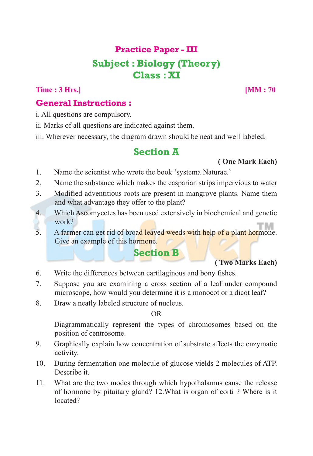# **Practice Paper - III Subject : Biology (Theory) Class : XI**

**Time : 3 Hrs.**] [MM : 70]

#### **General Instructions :**

i. All questions are compulsory.

ii. Marks of all questions are indicated against them.

iii. Wherever necessary, the diagram drawn should be neat and well labeled.

## **Section A**

#### **( One Mark Each)**

- 1. Name the scientist who wrote the book 'systema Naturae.'
- 2. Name the substance which makes the casparian strips impervious to water
- 3. Modified adventitious roots are present in mangrove plants. Name them and what advantage they offer to the plant?
- 4. Which Ascomycetes has been used extensively in biochemical and genetic work?
- 5. A farmer can get rid of broad leaved weeds with help of a plant hormone. Give an example of this hormone.

## **Section B**

#### **( Two Marks Each)**

- 6. Write the differences between cartilaginous and bony fishes.
- 7. Suppose you are examining a cross section of a leaf under compound microscope, how would you determine it is a monocot or a dicot leaf?
- 8. Draw a neatly labeled structure of nucleus.

OR

Diagrammatically represent the types of chromosomes based on the position of centrosome.

- 9. Graphically explain how concentration of substrate affects the enzymatic activity.
- 10. During fermentation one molecule of glucose yields 2 molecules of ATP. Describe it.
- 11. What are the two modes through which hypothalamus cause the release of hormone by pituitary gland? 12.What is organ of corti ? Where is it located?